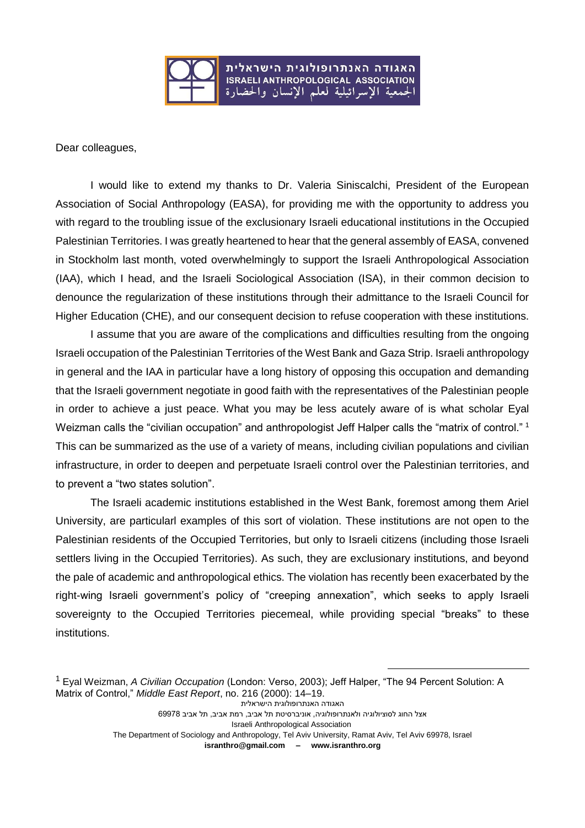

Dear colleagues,

I would like to extend my thanks to Dr. Valeria Siniscalchi, President of the European Association of Social Anthropology (EASA), for providing me with the opportunity to address you with regard to the troubling issue of the exclusionary Israeli educational institutions in the Occupied Palestinian Territories. I was greatly heartened to hear that the general assembly of EASA, convened in Stockholm last month, voted overwhelmingly to support the Israeli Anthropological Association (IAA), which I head, and the Israeli Sociological Association (ISA), in their common decision to denounce the regularization of these institutions through their admittance to the Israeli Council for Higher Education (CHE), and our consequent decision to refuse cooperation with these institutions.

I assume that you are aware of the complications and difficulties resulting from the ongoing Israeli occupation of the Palestinian Territories of the West Bank and Gaza Strip. Israeli anthropology in general and the IAA in particular have a long history of opposing this occupation and demanding that the Israeli government negotiate in good faith with the representatives of the Palestinian people in order to achieve a just peace. What you may be less acutely aware of is what scholar Eyal Weizman calls the "civilian occupation" and anthropologist Jeff Halper calls the "matrix of control." 1 This can be summarized as the use of a variety of means, including civilian populations and civilian infrastructure, in order to deepen and perpetuate Israeli control over the Palestinian territories, and to prevent a "two states solution".

The Israeli academic institutions established in the West Bank, foremost among them Ariel University, are particularl examples of this sort of violation. These institutions are not open to the Palestinian residents of the Occupied Territories, but only to Israeli citizens (including those Israeli settlers living in the Occupied Territories). As such, they are exclusionary institutions, and beyond the pale of academic and anthropological ethics. The violation has recently been exacerbated by the right-wing Israeli government's policy of "creeping annexation", which seeks to apply Israeli sovereignty to the Occupied Territories piecemeal, while providing special "breaks" to these institutions.

```
האגודה האנתרופולוגית הישראלית 
            אצל החוג לסוציולוגיה ולאנתרופולוגיה, אוניברסיטת תל אביב, רמת אביב, תל אביב 69978
                                Israeli Anthropological Association 
The Department of Sociology and Anthropology, Tel Aviv University, Ramat Aviv, Tel Aviv 69978, Israel
                         isranthro@gmail.com – www.isranthro.org
```
1

<sup>1</sup> Eyal Weizman, *A Civilian Occupation* (London: Verso, 2003); Jeff Halper, "The 94 Percent Solution: A Matrix of Control," *Middle East Report*, no. 216 (2000): 14–19.